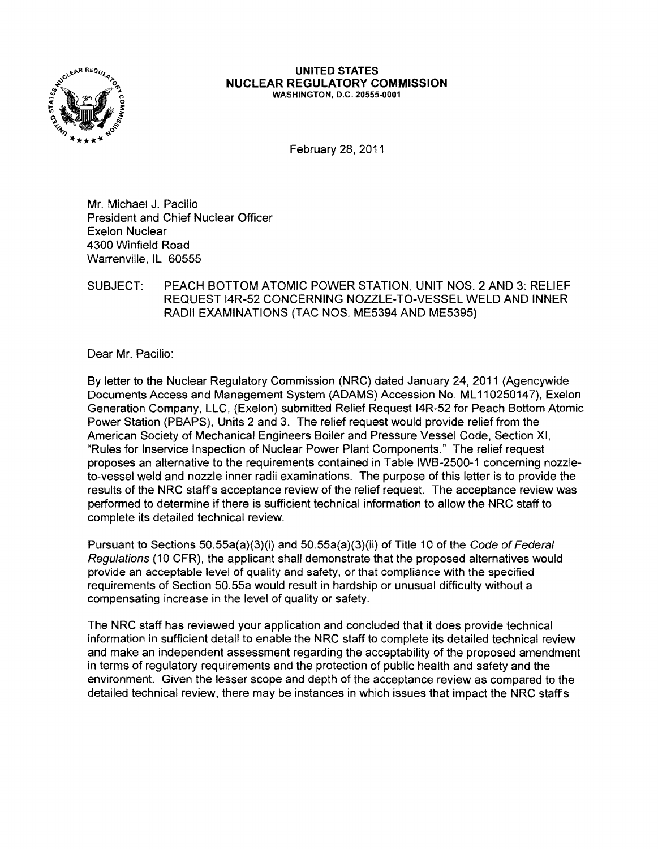

## UNITED STATES NUCLEAR REGULATORY COMMISSION WASHINGTON, D.C. 20555-0001

February 28,2011

Mr. Michael J. Pacilio President and Chief Nuclear Officer Exelon Nuclear 4300 Winfield Road Warrenville, IL 60555

## SUBJECT: PEACH BOTTOM ATOMIC POWER STATION, UNIT NOS. 2 AND 3: RELIEF REQUEST 14R-52 CONCERNING NOZZLE-TO-VESSEL WELD AND INNER RADII EXAMINATIONS (TAC NOS. ME5394 AND ME5395)

Dear Mr. Pacilio:

By letter to the Nuclear Regulatory Commission (NRC) dated January 24, 2011 (Agencywide Documents Access and Management System (ADAMS) Accession No. ML110250147), Exelon Generation Company. LLC, (Exelon) submitted Relief Request 14R-52 for Peach Bottom Atomic Power Station (PBAPS). Units 2 and 3. The relief request would provide relief from the American Society of Mechanical Engineers Boiler and Pressure Vessel Code, Section XI, "Rules for Inservice Inspection of Nuclear Power Plant Components." The relief request proposes an alternative to the requirements contained in Table IWB-2500-1 concerning nozzleto-vessel weld and nozzle inner radii examinations. The purpose of this letter is to provide the results of the NRC staffs acceptance review of the relief request. The acceptance review was performed to determine if there is sufficient technical information to allow the NRC staff to complete its detailed technical review.

Pursuant to Sections 50.55a(a)(3)(i) and 50.55a(a)(3)(ii} of Title 10 of the Code of Federal Regulations (10 CFR), the applicant shall demonstrate that the proposed alternatives would provide an acceptable level of quality and safety, or that compliance with the specified requirements of Section 50.55a would result in hardship or unusual difficulty without a compensating increase in the level of quality or safety.

The NRC staff has reviewed your application and concluded that it does provide technical information in sufficient detail to enable the NRC staff to complete its detailed technical review and make an independent assessment regarding the acceptability of the proposed amendment in terms of regulatory requirements and the protection of public health and safety and the environment. Given the lesser scope and depth of the acceptance review as compared to the detailed technical review, there may be instances in which issues that impact the NRC staffs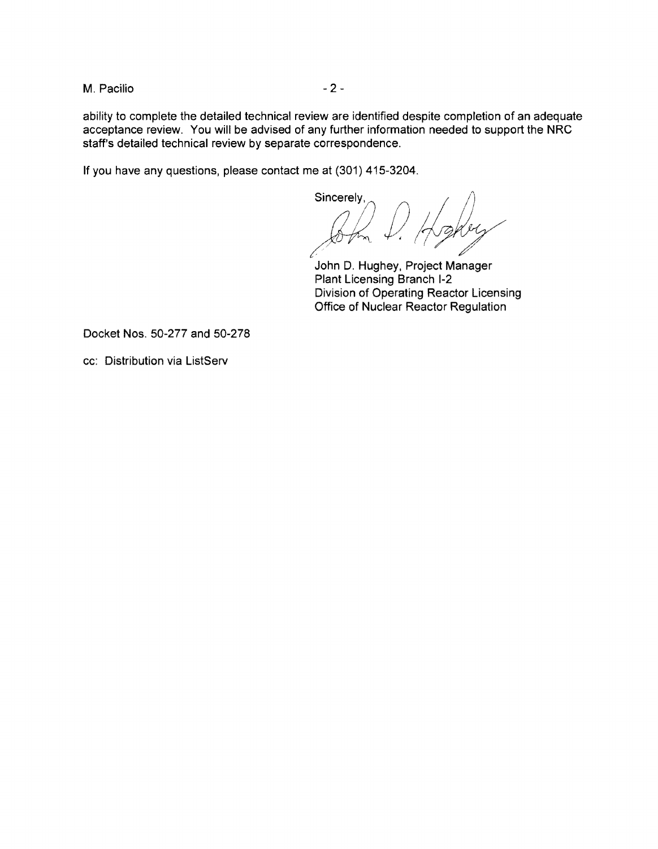M. Pacilio  $-2$  -

ability to complete the detailed technical review are identified despite completion of an adequate acceptance review. You will be advised of any further information needed to support the NRC staff's detailed technical review by separate correspondence.

If you have any questions, please contact me at (301) 415-3204.

 $\mathbb{R}$  . executively,  $\mathbb{R}$ Sincerely,<br> $\begin{array}{c} \begin{array}{c} \end{array} \\ \begin{array}{c} \end{array} \\ \begin{array}{c} \end{array} \\ \begin{array}{c} \end{array}$ John D. Hughey, Project Manager

Plant Licensing Branch 1-2 Division of Operating Reactor Licensing Office of Nuclear Reactor Regulation

Docket Nos. 50-277 and 50-278

cc: Distribution via ListServ